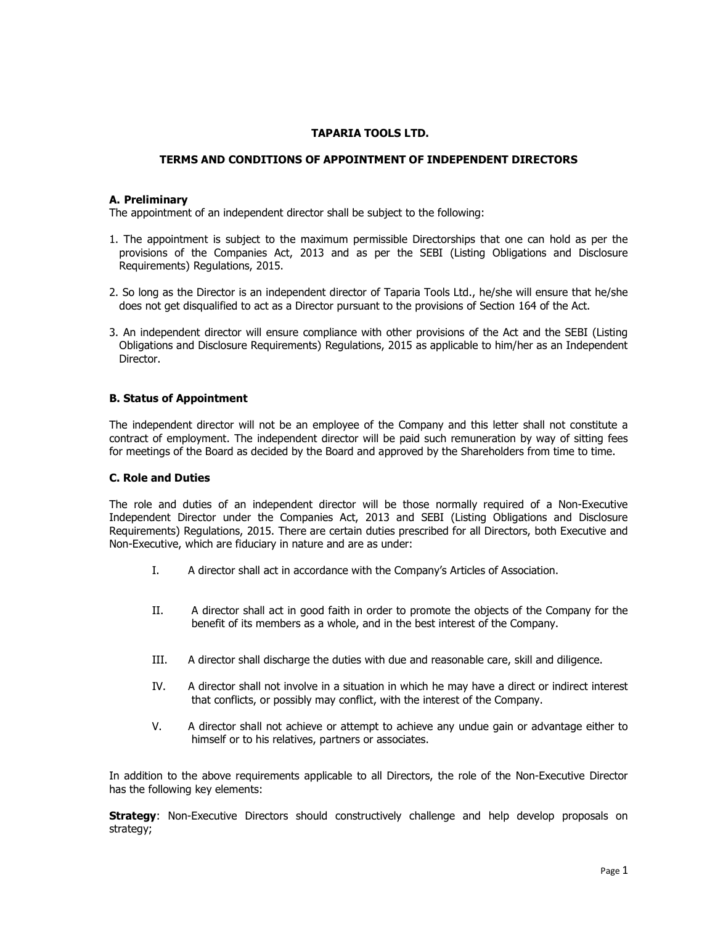## TAPARIA TOOLS LTD.

## TERMS AND CONDITIONS OF APPOINTMENT OF INDEPENDENT DIRECTORS

### A. Preliminary

The appointment of an independent director shall be subject to the following:

- 1. The appointment is subject to the maximum permissible Directorships that one can hold as per the provisions of the Companies Act, 2013 and as per the SEBI (Listing Obligations and Disclosure Requirements) Regulations, 2015.
- 2. So long as the Director is an independent director of Taparia Tools Ltd., he/she will ensure that he/she does not get disqualified to act as a Director pursuant to the provisions of Section 164 of the Act.
- 3. An independent director will ensure compliance with other provisions of the Act and the SEBI (Listing Obligations and Disclosure Requirements) Regulations, 2015 as applicable to him/her as an Independent Director.

### B. Status of Appointment

The independent director will not be an employee of the Company and this letter shall not constitute a contract of employment. The independent director will be paid such remuneration by way of sitting fees for meetings of the Board as decided by the Board and approved by the Shareholders from time to time.

#### C. Role and Duties

The role and duties of an independent director will be those normally required of a Non-Executive Independent Director under the Companies Act, 2013 and SEBI (Listing Obligations and Disclosure Requirements) Regulations, 2015. There are certain duties prescribed for all Directors, both Executive and Non-Executive, which are fiduciary in nature and are as under:

- I. A director shall act in accordance with the Company's Articles of Association.
- II. A director shall act in good faith in order to promote the objects of the Company for the benefit of its members as a whole, and in the best interest of the Company.
- III. A director shall discharge the duties with due and reasonable care, skill and diligence.
- IV. A director shall not involve in a situation in which he may have a direct or indirect interest that conflicts, or possibly may conflict, with the interest of the Company.
- V. A director shall not achieve or attempt to achieve any undue gain or advantage either to himself or to his relatives, partners or associates.

In addition to the above requirements applicable to all Directors, the role of the Non-Executive Director has the following key elements:

**Strategy**: Non-Executive Directors should constructively challenge and help develop proposals on strategy;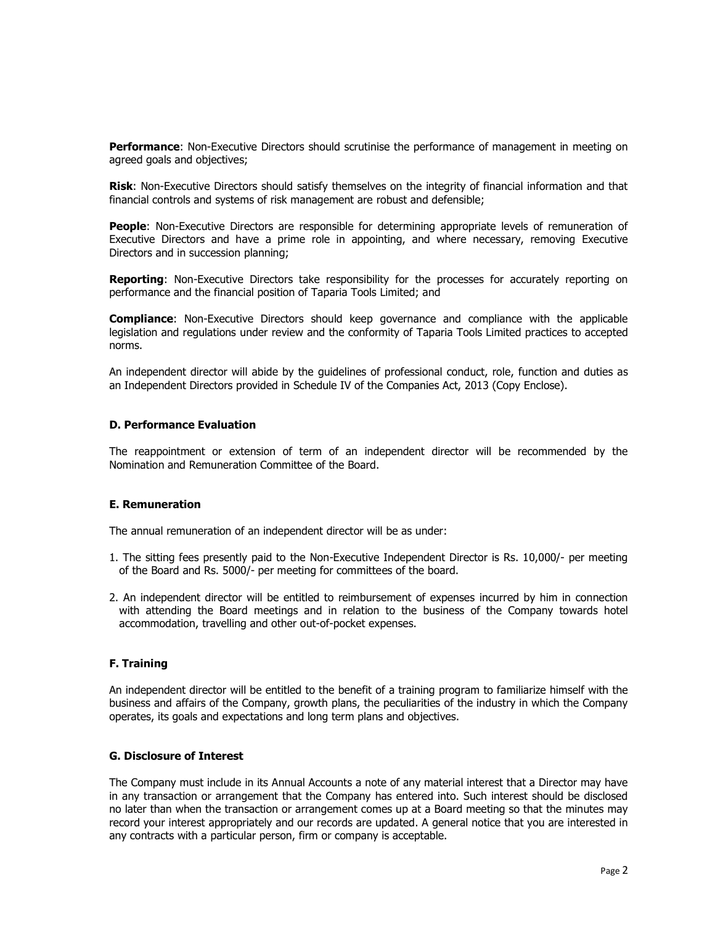Performance: Non-Executive Directors should scrutinise the performance of management in meeting on agreed goals and objectives;

**Risk:** Non-Executive Directors should satisfy themselves on the integrity of financial information and that financial controls and systems of risk management are robust and defensible;

People: Non-Executive Directors are responsible for determining appropriate levels of remuneration of Executive Directors and have a prime role in appointing, and where necessary, removing Executive Directors and in succession planning;

**Reporting:** Non-Executive Directors take responsibility for the processes for accurately reporting on performance and the financial position of Taparia Tools Limited; and

**Compliance:** Non-Executive Directors should keep governance and compliance with the applicable legislation and regulations under review and the conformity of Taparia Tools Limited practices to accepted norms.

An independent director will abide by the guidelines of professional conduct, role, function and duties as an Independent Directors provided in Schedule IV of the Companies Act, 2013 (Copy Enclose).

### D. Performance Evaluation

The reappointment or extension of term of an independent director will be recommended by the Nomination and Remuneration Committee of the Board.

#### E. Remuneration

The annual remuneration of an independent director will be as under:

- 1. The sitting fees presently paid to the Non-Executive Independent Director is Rs. 10,000/- per meeting of the Board and Rs. 5000/- per meeting for committees of the board.
- 2. An independent director will be entitled to reimbursement of expenses incurred by him in connection with attending the Board meetings and in relation to the business of the Company towards hotel accommodation, travelling and other out-of-pocket expenses.

# F. Training

An independent director will be entitled to the benefit of a training program to familiarize himself with the business and affairs of the Company, growth plans, the peculiarities of the industry in which the Company operates, its goals and expectations and long term plans and objectives.

### G. Disclosure of Interest

The Company must include in its Annual Accounts a note of any material interest that a Director may have in any transaction or arrangement that the Company has entered into. Such interest should be disclosed no later than when the transaction or arrangement comes up at a Board meeting so that the minutes may record your interest appropriately and our records are updated. A general notice that you are interested in any contracts with a particular person, firm or company is acceptable.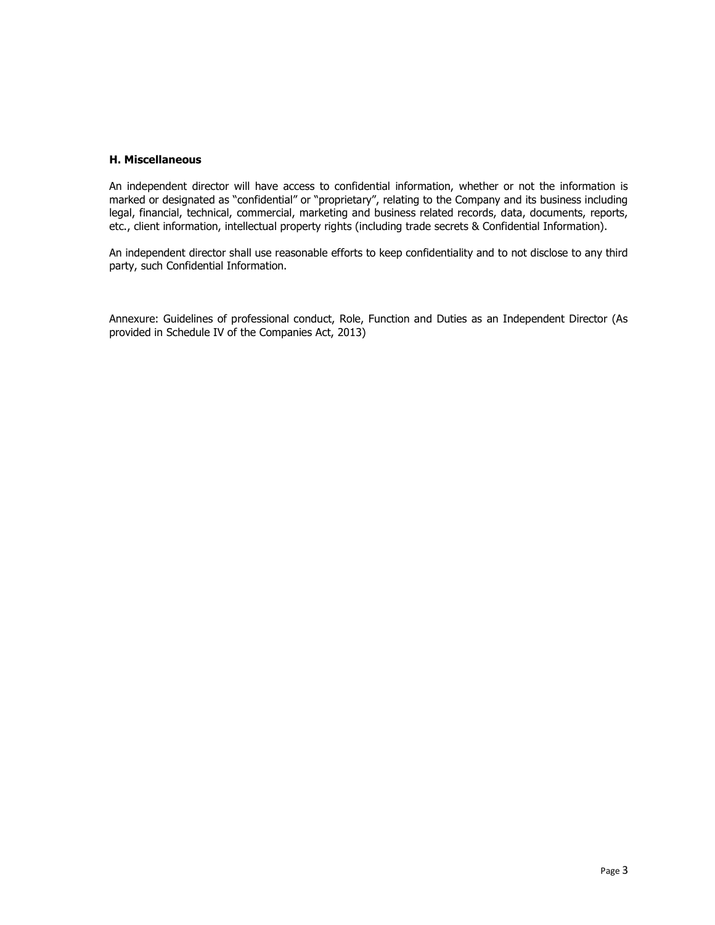# H. Miscellaneous

An independent director will have access to confidential information, whether or not the information is marked or designated as "confidential" or "proprietary", relating to the Company and its business including legal, financial, technical, commercial, marketing and business related records, data, documents, reports, etc., client information, intellectual property rights (including trade secrets & Confidential Information).

An independent director shall use reasonable efforts to keep confidentiality and to not disclose to any third party, such Confidential Information.

Annexure: Guidelines of professional conduct, Role, Function and Duties as an Independent Director (As provided in Schedule IV of the Companies Act, 2013)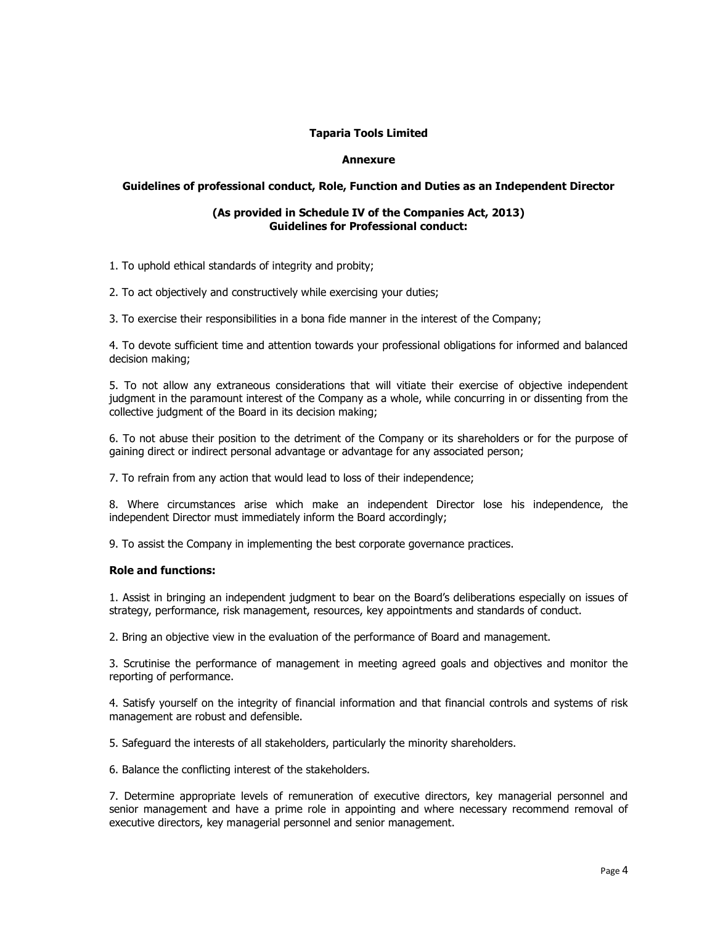# Taparia Tools Limited

# Annexure

# Guidelines of professional conduct, Role, Function and Duties as an Independent Director

#### (As provided in Schedule IV of the Companies Act, 2013) Guidelines for Professional conduct:

1. To uphold ethical standards of integrity and probity;

2. To act objectively and constructively while exercising your duties;

3. To exercise their responsibilities in a bona fide manner in the interest of the Company;

4. To devote sufficient time and attention towards your professional obligations for informed and balanced decision making;

5. To not allow any extraneous considerations that will vitiate their exercise of objective independent judgment in the paramount interest of the Company as a whole, while concurring in or dissenting from the collective judgment of the Board in its decision making;

6. To not abuse their position to the detriment of the Company or its shareholders or for the purpose of gaining direct or indirect personal advantage or advantage for any associated person;

7. To refrain from any action that would lead to loss of their independence;

8. Where circumstances arise which make an independent Director lose his independence, the independent Director must immediately inform the Board accordingly;

9. To assist the Company in implementing the best corporate governance practices.

#### Role and functions:

1. Assist in bringing an independent judgment to bear on the Board's deliberations especially on issues of strategy, performance, risk management, resources, key appointments and standards of conduct.

2. Bring an objective view in the evaluation of the performance of Board and management.

3. Scrutinise the performance of management in meeting agreed goals and objectives and monitor the reporting of performance.

4. Satisfy yourself on the integrity of financial information and that financial controls and systems of risk management are robust and defensible.

5. Safeguard the interests of all stakeholders, particularly the minority shareholders.

6. Balance the conflicting interest of the stakeholders.

7. Determine appropriate levels of remuneration of executive directors, key managerial personnel and senior management and have a prime role in appointing and where necessary recommend removal of executive directors, key managerial personnel and senior management.